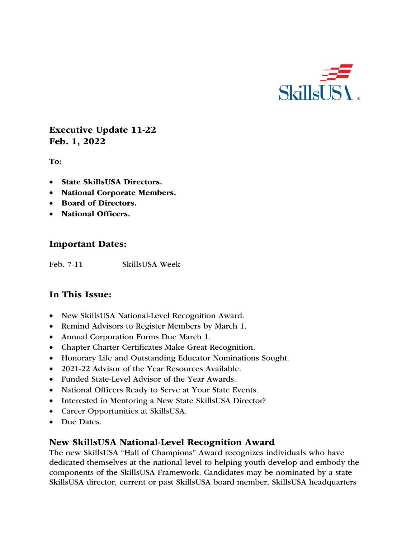

Executive Update 11-22 Feb. 1, 2022

To:

- State SkillsUSA Directors.
- National Corporate Members.
- Board of Directors.
- National Officers.

#### Important Dates:

Feb. 7-11 SkillsUSA Week

## In This Issue:

- New SkillsUSA National-Level Recognition Award.
- Remind Advisors to Register Members by March 1.
- Annual Corporation Forms Due March 1.
- Chapter Charter Certificates Make Great Recognition.
- Honorary Life and Outstanding Educator Nominations Sought.
- 2021-22 Advisor of the Year Resources Available.
- Funded State-Level Advisor of the Year Awards.
- National Officers Ready to Serve at Your State Events.
- Interested in Mentoring a New State SkillsUSA Director?
- Career Opportunities at SkillsUSA.
- Due Dates.

#### New SkillsUSA National-Level Recognition Award

The new SkillsUSA "Hall of Champions" Award recognizes individuals who have dedicated themselves at the national level to helping youth develop and embody the components of the SkillsUSA Framework. Candidates may be nominated by a state SkillsUSA director, current or past SkillsUSA board member, SkillsUSA headquarters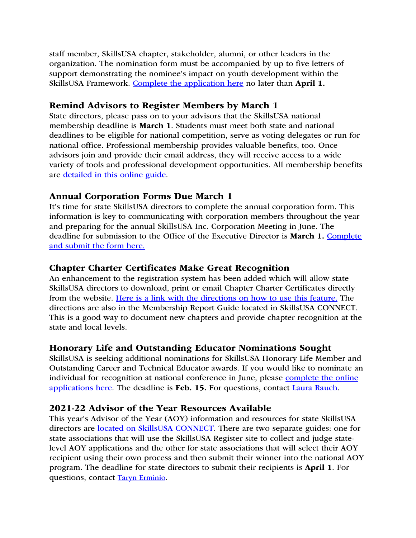staff member, SkillsUSA chapter, stakeholder, alumni, or other leaders in the organization. The nomination form must be accompanied by up to five letters of support demonstrating the nominee's impact on youth development within the SkillsUSA Framework. Complete the application here no later than April 1.

## Remind Advisors to Register Members by March 1

State directors, please pass on to your advisors that the SkillsUSA national membership deadline is March 1. Students must meet both state and national deadlines to be eligible for national competition, serve as voting delegates or run for national office. Professional membership provides valuable benefits, too. Once advisors join and provide their email address, they will receive access to a wide variety of tools and professional development opportunities. All membership benefits are detailed in this online guide.

## Annual Corporation Forms Due March 1

It's time for state SkillsUSA directors to complete the annual corporation form. This information is key to communicating with corporation members throughout the year and preparing for the annual SkillsUSA Inc. Corporation Meeting in June. The deadline for submission to the Office of the Executive Director is March 1. Complete and submit the form here.

#### Chapter Charter Certificates Make Great Recognition

An enhancement to the registration system has been added which will allow state SkillsUSA directors to download, print or email Chapter Charter Certificates directly from the website. Here is a link with the directions on how to use this feature. The directions are also in the Membership Report Guide located in SkillsUSA CONNECT. This is a good way to document new chapters and provide chapter recognition at the state and local levels.

#### Honorary Life and Outstanding Educator Nominations Sought

SkillsUSA is seeking additional nominations for SkillsUSA Honorary Life Member and Outstanding Career and Technical Educator awards. If you would like to nominate an individual for recognition at national conference in June, please complete the online applications here. The deadline is Feb. 15. For questions, contact Laura Rauch.

## 2021-22 Advisor of the Year Resources Available

This year's Advisor of the Year (AOY) information and resources for state SkillsUSA directors are located on SkillsUSA CONNECT. There are two separate guides: one for state associations that will use the SkillsUSA Register site to collect and judge statelevel AOY applications and the other for state associations that will select their AOY recipient using their own process and then submit their winner into the national AOY program. The deadline for state directors to submit their recipients is April 1. For questions, contact Taryn Erminio.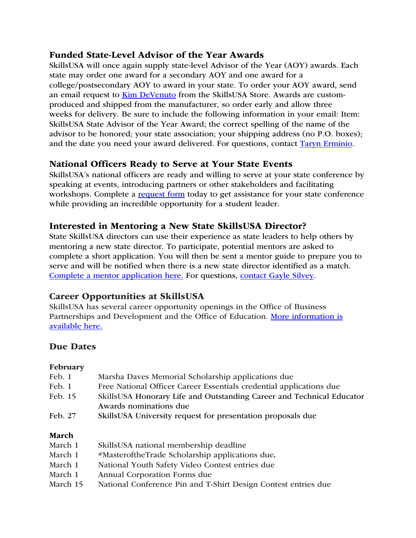## Funded State-Level Advisor of the Year Awards

SkillsUSA will once again supply state-level Advisor of the Year (AOY) awards. Each state may order one award for a secondary AOY and one award for a college/postsecondary AOY to award in your state. To order your AOY award, send an email request to Kim DeVenuto from the SkillsUSA Store. Awards are customproduced and shipped from the manufacturer, so order early and allow three weeks for delivery. Be sure to include the following information in your email: Item: SkillsUSA State Advisor of the Year Award; the correct spelling of the name of the advisor to be honored; your state association; your shipping address (no P.O. boxes); and the date you need your award delivered. For questions, contact Taryn Erminio.

## National Officers Ready to Serve at Your State Events

SkillsUSA's national officers are ready and willing to serve at your state conference by speaking at events, introducing partners or other stakeholders and facilitating workshops. Complete a request form today to get assistance for your state conference while providing an incredible opportunity for a student leader.

## Interested in Mentoring a New State SkillsUSA Director?

State SkillsUSA directors can use their experience as state leaders to help others by mentoring a new state director. To participate, potential mentors are asked to complete a short application. You will then be sent a mentor guide to prepare you to serve and will be notified when there is a new state director identified as a match. Complete a mentor application here. For questions, contact Gayle Silvey.

## Career Opportunities at SkillsUSA

SkillsUSA has several career opportunity openings in the Office of Business Partnerships and Development and the Office of Education. More information is available here.

## Due Dates

#### February

| Feb. 1  | Marsha Daves Memorial Scholarship applications due                                              |
|---------|-------------------------------------------------------------------------------------------------|
| Feb. 1  | Free National Officer Career Essentials credential applications due                             |
| Feb. 15 | SkillsUSA Honorary Life and Outstanding Career and Technical Educator<br>Awards nominations due |
| Feb. 27 | SkillsUSA University request for presentation proposals due                                     |
|         |                                                                                                 |

#### March

| March 1  | SkillsUSA national membership deadline                         |
|----------|----------------------------------------------------------------|
| March 1  | #MasteroftheTrade Scholarship applications due.                |
| March 1  | National Youth Safety Video Contest entries due                |
| March 1  | Annual Corporation Forms due                                   |
| March 15 | National Conference Pin and T-Shirt Design Contest entries due |